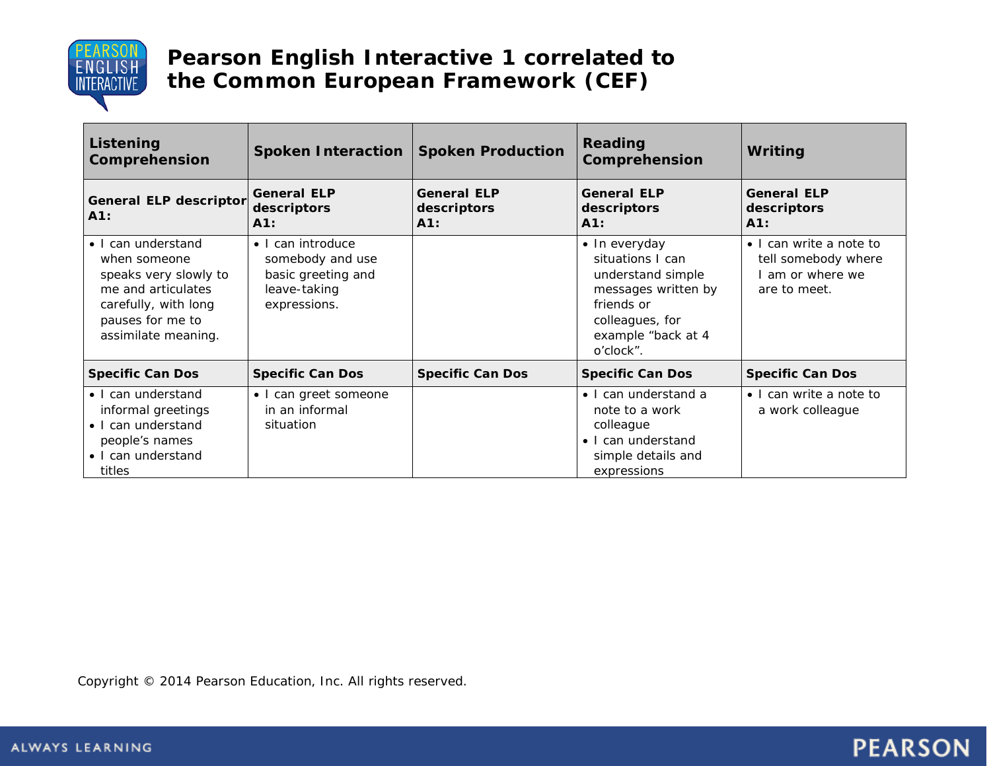

| Listening<br>Comprehension                                                                                                                           | Spoken Interaction   Spoken Production                                                      |                                             | Reading<br>Comprehension                                                                                                                          | Writing                                                                          |
|------------------------------------------------------------------------------------------------------------------------------------------------------|---------------------------------------------------------------------------------------------|---------------------------------------------|---------------------------------------------------------------------------------------------------------------------------------------------------|----------------------------------------------------------------------------------|
| <b>General ELP descriptor</b><br>A1:                                                                                                                 | <b>General ELP</b><br>descriptors<br>A1:                                                    | <b>General ELP</b><br>descriptors<br>$A1$ : | <b>General ELP</b><br>descriptors<br>A1:                                                                                                          | <b>General ELP</b><br>descriptors<br>A1:                                         |
| • I can understand<br>when someone<br>speaks very slowly to<br>me and articulates<br>carefully, with long<br>pauses for me to<br>assimilate meaning. | · I can introduce<br>somebody and use<br>basic greeting and<br>leave-taking<br>expressions. |                                             | · In everyday<br>situations I can<br>understand simple<br>messages written by<br>friends or<br>colleagues, for<br>example "back at 4<br>o'clock". | • I can write a note to<br>tell somebody where<br>am or where we<br>are to meet. |
| <b>Specific Can Dos</b>                                                                                                                              | <b>Specific Can Dos</b>                                                                     | <b>Specific Can Dos</b>                     | <b>Specific Can Dos</b>                                                                                                                           | <b>Specific Can Dos</b>                                                          |
| • I can understand<br>informal greetings<br>• I can understand<br>people's names<br>• I can understand<br>titles                                     | • I can greet someone<br>in an informal<br>situation                                        |                                             | • I can understand a<br>note to a work<br>colleague<br>• I can understand<br>simple details and<br>expressions                                    | • I can write a note to<br>a work colleague                                      |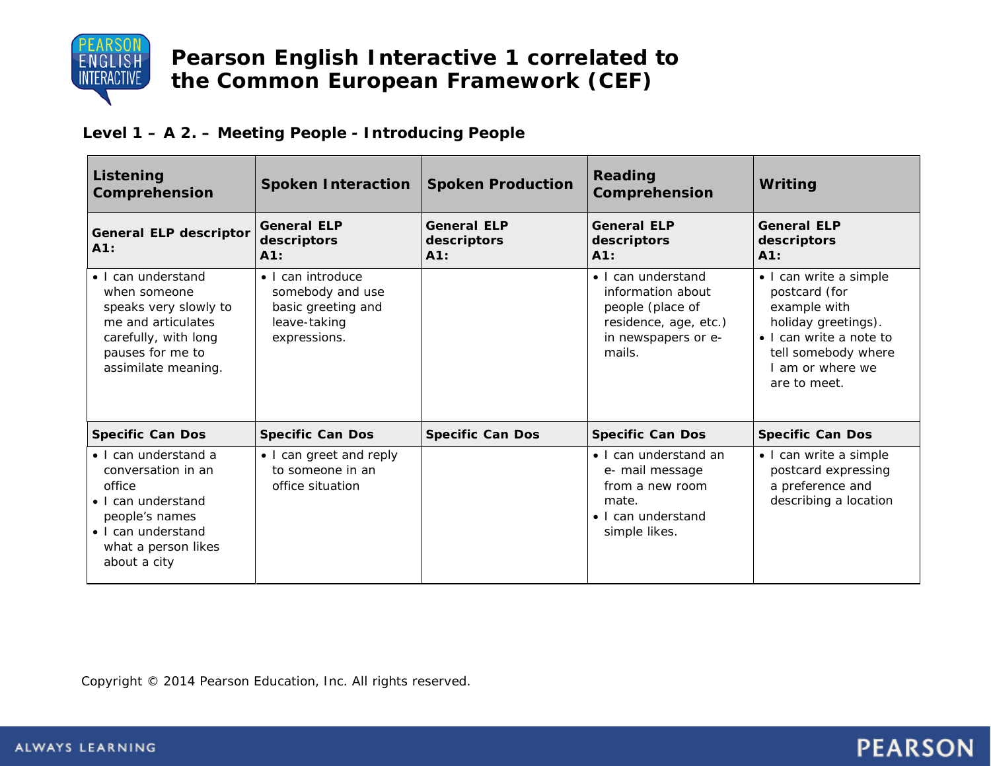

#### **Level 1 – A 2. – Meeting People - Introducing People**

| Listening<br>Comprehension                                                                                                                                | <b>Spoken Interaction</b>                                                                   | <b>Spoken Production</b>                    | Reading<br>Comprehension                                                                                              | Writing                                                                                                                                                              |
|-----------------------------------------------------------------------------------------------------------------------------------------------------------|---------------------------------------------------------------------------------------------|---------------------------------------------|-----------------------------------------------------------------------------------------------------------------------|----------------------------------------------------------------------------------------------------------------------------------------------------------------------|
| <b>General ELP descriptor</b><br>A1:                                                                                                                      | <b>General ELP</b><br>descriptors<br>$A1$ :                                                 | <b>General ELP</b><br>descriptors<br>$A1$ : | <b>General ELP</b><br>descriptors<br>A1:                                                                              | <b>General ELP</b><br>descriptors<br>A1:                                                                                                                             |
| • I can understand<br>when someone<br>speaks very slowly to<br>me and articulates<br>carefully, with long<br>pauses for me to<br>assimilate meaning.      | · I can introduce<br>somebody and use<br>basic greeting and<br>leave-taking<br>expressions. |                                             | • I can understand<br>information about<br>people (place of<br>residence, age, etc.)<br>in newspapers or e-<br>mails. | • I can write a simple<br>postcard (for<br>example with<br>holiday greetings).<br>• I can write a note to<br>tell somebody where<br>I am or where we<br>are to meet. |
| <b>Specific Can Dos</b>                                                                                                                                   | <b>Specific Can Dos</b>                                                                     | <b>Specific Can Dos</b>                     | <b>Specific Can Dos</b>                                                                                               | <b>Specific Can Dos</b>                                                                                                                                              |
| • I can understand a<br>conversation in an<br>office<br>• I can understand<br>people's names<br>• I can understand<br>what a person likes<br>about a city | • I can greet and reply<br>to someone in an<br>office situation                             |                                             | • I can understand an<br>e- mail message<br>from a new room<br>mate.<br>• I can understand<br>simple likes.           | · I can write a simple<br>postcard expressing<br>a preference and<br>describing a location                                                                           |

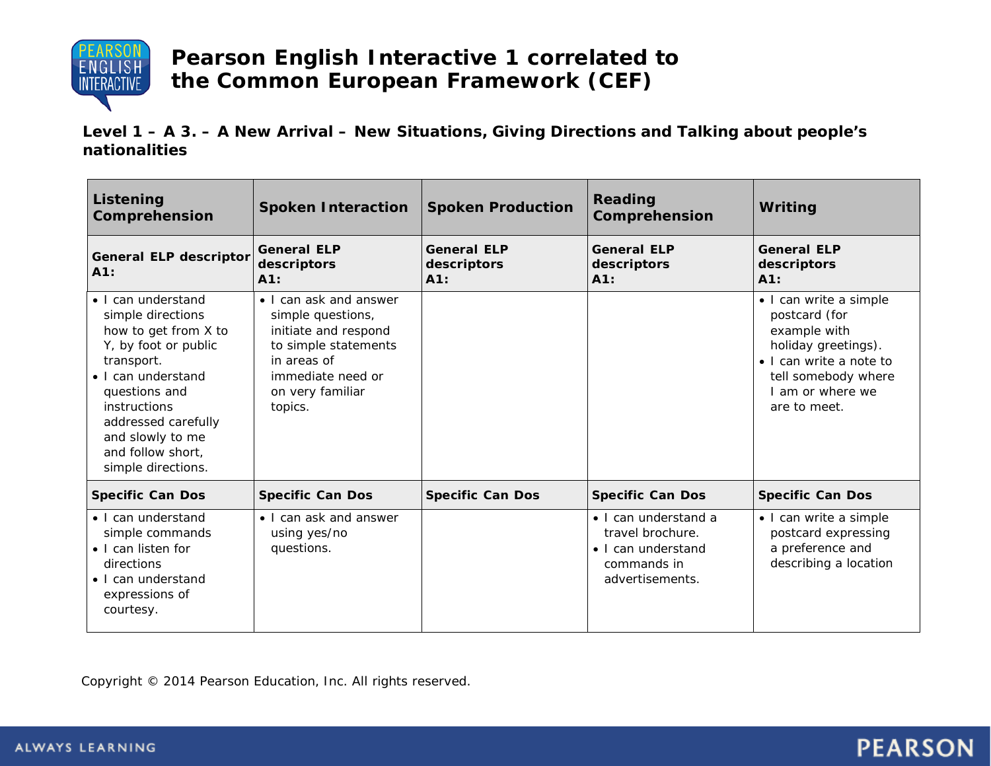

**Level 1 – A 3. – A New Arrival – New Situations, Giving Directions and Talking about people's nationalities**

| <b>Listening</b><br>Comprehension                                                                                                                                                                                                                  | <b>Spoken Interaction</b>                                                                                                                                      | <b>Spoken Production</b>                 | Reading<br>Comprehension                                                                         | Writing                                                                                                                                                            |
|----------------------------------------------------------------------------------------------------------------------------------------------------------------------------------------------------------------------------------------------------|----------------------------------------------------------------------------------------------------------------------------------------------------------------|------------------------------------------|--------------------------------------------------------------------------------------------------|--------------------------------------------------------------------------------------------------------------------------------------------------------------------|
| General ELP descriptor<br>A1:                                                                                                                                                                                                                      | <b>General ELP</b><br>descriptors<br>A1:                                                                                                                       | <b>General ELP</b><br>descriptors<br>A1: | <b>General ELP</b><br>descriptors<br>A1:                                                         | <b>General ELP</b><br>descriptors<br>A1:                                                                                                                           |
| • I can understand<br>simple directions<br>how to get from X to<br>Y, by foot or public<br>transport.<br>• I can understand<br>questions and<br>instructions<br>addressed carefully<br>and slowly to me<br>and follow short,<br>simple directions. | • I can ask and answer<br>simple questions,<br>initiate and respond<br>to simple statements<br>in areas of<br>immediate need or<br>on very familiar<br>topics. |                                          |                                                                                                  | • I can write a simple<br>postcard (for<br>example with<br>holiday greetings).<br>• I can write a note to<br>tell somebody where<br>am or where we<br>are to meet. |
| <b>Specific Can Dos</b>                                                                                                                                                                                                                            | <b>Specific Can Dos</b>                                                                                                                                        | <b>Specific Can Dos</b>                  | <b>Specific Can Dos</b>                                                                          | <b>Specific Can Dos</b>                                                                                                                                            |
| • I can understand<br>simple commands<br>• I can listen for<br>directions<br>• I can understand<br>expressions of<br>courtesy.                                                                                                                     | • I can ask and answer<br>using yes/no<br>questions.                                                                                                           |                                          | • I can understand a<br>travel brochure.<br>• I can understand<br>commands in<br>advertisements. | • I can write a simple<br>postcard expressing<br>a preference and<br>describing a location                                                                         |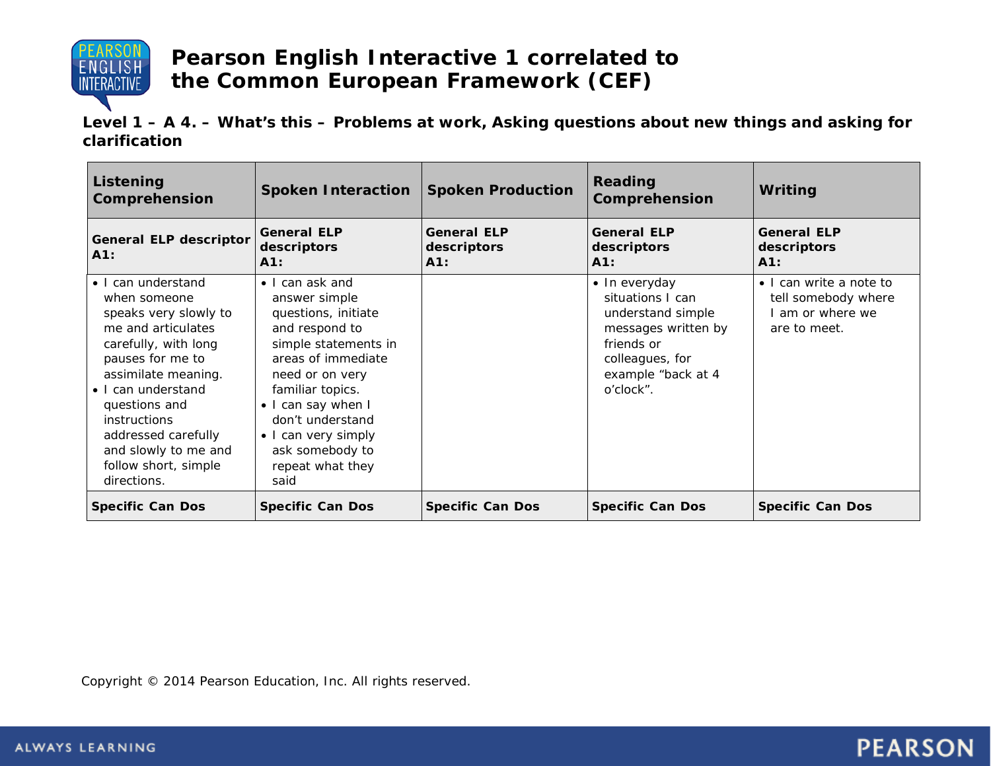

**Level 1 – A 4. – What's this – Problems at work, Asking questions about new things and asking for clarification**

| Listening<br><b>Comprehension</b>                                                                                                                                                                                                                                                                        | <b>Spoken Interaction</b>                                                                                                                                                                                                                                                      | <b>Spoken Production</b>                 | Reading<br>Comprehension                                                                                                                          | Writing                                                                            |
|----------------------------------------------------------------------------------------------------------------------------------------------------------------------------------------------------------------------------------------------------------------------------------------------------------|--------------------------------------------------------------------------------------------------------------------------------------------------------------------------------------------------------------------------------------------------------------------------------|------------------------------------------|---------------------------------------------------------------------------------------------------------------------------------------------------|------------------------------------------------------------------------------------|
| General ELP descriptor<br>A1:                                                                                                                                                                                                                                                                            | <b>General ELP</b><br>descriptors<br>A1:                                                                                                                                                                                                                                       | <b>General ELP</b><br>descriptors<br>A1: | <b>General ELP</b><br>descriptors<br>A1:                                                                                                          | <b>General ELP</b><br>descriptors<br>A1:                                           |
| • I can understand<br>when someone<br>speaks very slowly to<br>me and articulates<br>carefully, with long<br>pauses for me to<br>assimilate meaning.<br>• I can understand<br>questions and<br><i>instructions</i><br>addressed carefully<br>and slowly to me and<br>follow short, simple<br>directions. | • I can ask and<br>answer simple<br>questions, initiate<br>and respond to<br>simple statements in<br>areas of immediate<br>need or on very<br>familiar topics.<br>• I can say when I<br>don't understand<br>• I can very simply<br>ask somebody to<br>repeat what they<br>said |                                          | • In everyday<br>situations I can<br>understand simple<br>messages written by<br>friends or<br>colleagues, for<br>example "back at 4<br>o'clock". | • I can write a note to<br>tell somebody where<br>I am or where we<br>are to meet. |
| <b>Specific Can Dos</b>                                                                                                                                                                                                                                                                                  | <b>Specific Can Dos</b>                                                                                                                                                                                                                                                        | <b>Specific Can Dos</b>                  | <b>Specific Can Dos</b>                                                                                                                           | <b>Specific Can Dos</b>                                                            |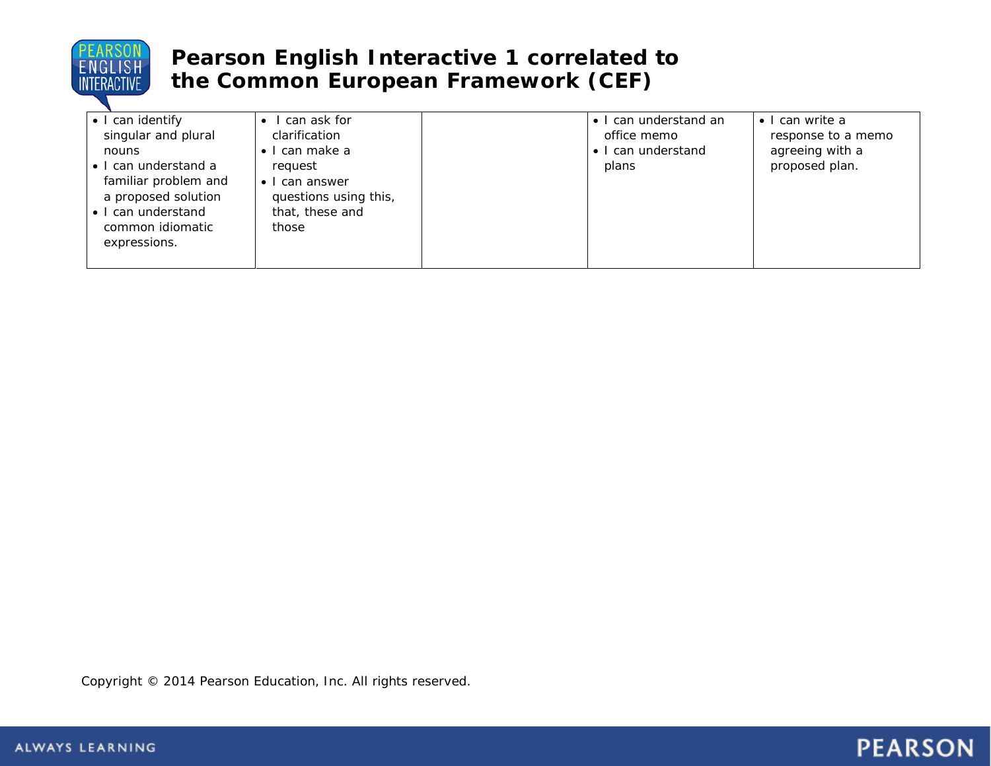

| • I can identify<br>singular and plural<br>nouns<br>• I can understand a<br>familiar problem and<br>a proposed solution<br>• I can understand<br>common idiomatic<br>expressions. | I can ask for<br>clarification<br>can make a<br>request<br>can answer<br>$\bullet$<br>questions using this,<br>that, these and<br>those |  | • I can understand an<br>office memo<br>• I can understand<br>plans | $\bullet$ I can write a<br>response to a memo<br>agreeing with a<br>proposed plan. |
|-----------------------------------------------------------------------------------------------------------------------------------------------------------------------------------|-----------------------------------------------------------------------------------------------------------------------------------------|--|---------------------------------------------------------------------|------------------------------------------------------------------------------------|
|-----------------------------------------------------------------------------------------------------------------------------------------------------------------------------------|-----------------------------------------------------------------------------------------------------------------------------------------|--|---------------------------------------------------------------------|------------------------------------------------------------------------------------|

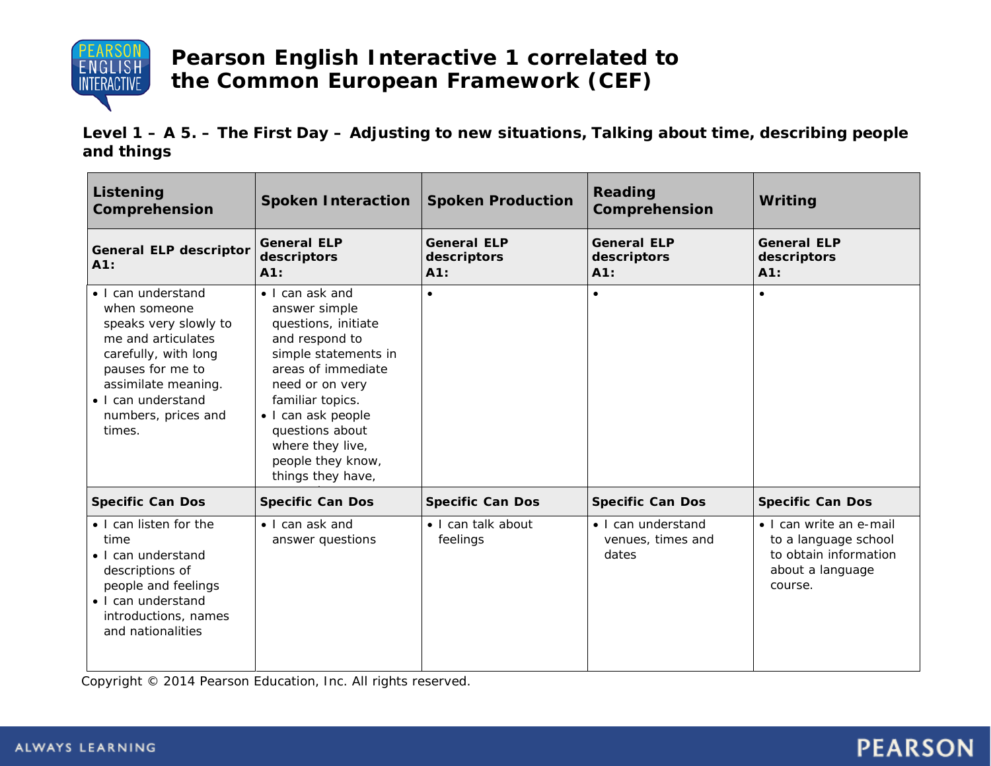

**Level 1 – A 5. – The First Day – Adjusting to new situations, Talking about time, describing people and things**

| Listening<br>Comprehension                                                                                                                                                                                  | <b>Spoken Interaction</b>                                                                                                                                                                                                                                             | <b>Spoken Production</b>                 | Reading<br>Comprehension                         | Writing                                                                                                 |
|-------------------------------------------------------------------------------------------------------------------------------------------------------------------------------------------------------------|-----------------------------------------------------------------------------------------------------------------------------------------------------------------------------------------------------------------------------------------------------------------------|------------------------------------------|--------------------------------------------------|---------------------------------------------------------------------------------------------------------|
| <b>General ELP descriptor</b><br>A1:                                                                                                                                                                        | <b>General ELP</b><br>descriptors<br>A1:                                                                                                                                                                                                                              | <b>General ELP</b><br>descriptors<br>A1: | <b>General ELP</b><br>descriptors<br>A1:         | <b>General ELP</b><br>descriptors<br>A1:                                                                |
| • I can understand<br>when someone<br>speaks very slowly to<br>me and articulates<br>carefully, with long<br>pauses for me to<br>assimilate meaning.<br>• I can understand<br>numbers, prices and<br>times. | • I can ask and<br>answer simple<br>questions, initiate<br>and respond to<br>simple statements in<br>areas of immediate<br>need or on very<br>familiar topics.<br>· I can ask people<br>questions about<br>where they live,<br>people they know,<br>things they have, | $\bullet$                                | $\bullet$                                        | $\bullet$                                                                                               |
| <b>Specific Can Dos</b>                                                                                                                                                                                     | <b>Specific Can Dos</b>                                                                                                                                                                                                                                               | <b>Specific Can Dos</b>                  | <b>Specific Can Dos</b>                          | <b>Specific Can Dos</b>                                                                                 |
| • I can listen for the<br>time<br>• I can understand<br>descriptions of<br>people and feelings<br>• I can understand<br>introductions, names<br>and nationalities                                           | • I can ask and<br>answer questions                                                                                                                                                                                                                                   | • I can talk about<br>feelings           | • I can understand<br>venues, times and<br>dates | • I can write an e-mail<br>to a language school<br>to obtain information<br>about a language<br>course. |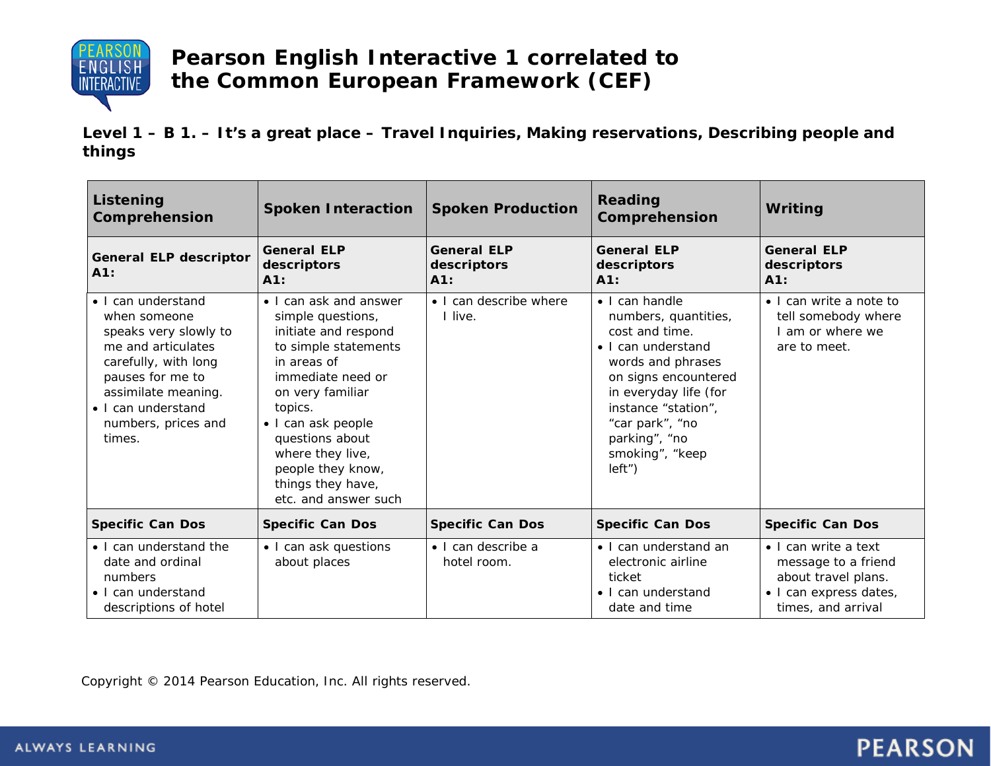

**Level 1 – B 1. – It's a great place – Travel Inquiries, Making reservations, Describing people and things**

| Listening<br>Comprehension                                                                                                                                                                                  | <b>Spoken Interaction</b>                                                                                                                                                                                                                                                                     | <b>Spoken Production</b>                  | Reading<br>Comprehension                                                                                                                                                                                                                        | Writing                                                                                                            |
|-------------------------------------------------------------------------------------------------------------------------------------------------------------------------------------------------------------|-----------------------------------------------------------------------------------------------------------------------------------------------------------------------------------------------------------------------------------------------------------------------------------------------|-------------------------------------------|-------------------------------------------------------------------------------------------------------------------------------------------------------------------------------------------------------------------------------------------------|--------------------------------------------------------------------------------------------------------------------|
| <b>General ELP descriptor</b><br>A1:                                                                                                                                                                        | <b>General ELP</b><br>descriptors<br>A1:                                                                                                                                                                                                                                                      | <b>General ELP</b><br>descriptors<br>A1:  | <b>General ELP</b><br>descriptors<br>A1:                                                                                                                                                                                                        | <b>General ELP</b><br>descriptors<br>A1:                                                                           |
| • I can understand<br>when someone<br>speaks very slowly to<br>me and articulates<br>carefully, with long<br>pauses for me to<br>assimilate meaning.<br>• I can understand<br>numbers, prices and<br>times. | • I can ask and answer<br>simple questions,<br>initiate and respond<br>to simple statements<br>in areas of<br>immediate need or<br>on very familiar<br>topics.<br>• I can ask people<br>questions about<br>where they live,<br>people they know,<br>things they have,<br>etc. and answer such | • I can describe where<br>live.           | • I can handle<br>numbers, quantities,<br>cost and time.<br>• I can understand<br>words and phrases<br>on signs encountered<br>in everyday life (for<br>instance "station",<br>"car park", "no<br>parking", "no<br>smoking", "keep<br>$left'$ ) | • I can write a note to<br>tell somebody where<br>am or where we<br>are to meet.                                   |
| <b>Specific Can Dos</b>                                                                                                                                                                                     | <b>Specific Can Dos</b>                                                                                                                                                                                                                                                                       | <b>Specific Can Dos</b>                   | <b>Specific Can Dos</b>                                                                                                                                                                                                                         | <b>Specific Can Dos</b>                                                                                            |
| • I can understand the<br>date and ordinal<br>numbers<br>• I can understand<br>descriptions of hotel                                                                                                        | • I can ask questions<br>about places                                                                                                                                                                                                                                                         | $\bullet$ I can describe a<br>hotel room. | • I can understand an<br>electronic airline<br>ticket<br>$\bullet$ I can understand<br>date and time                                                                                                                                            | • I can write a text<br>message to a friend<br>about travel plans.<br>· I can express dates,<br>times, and arrival |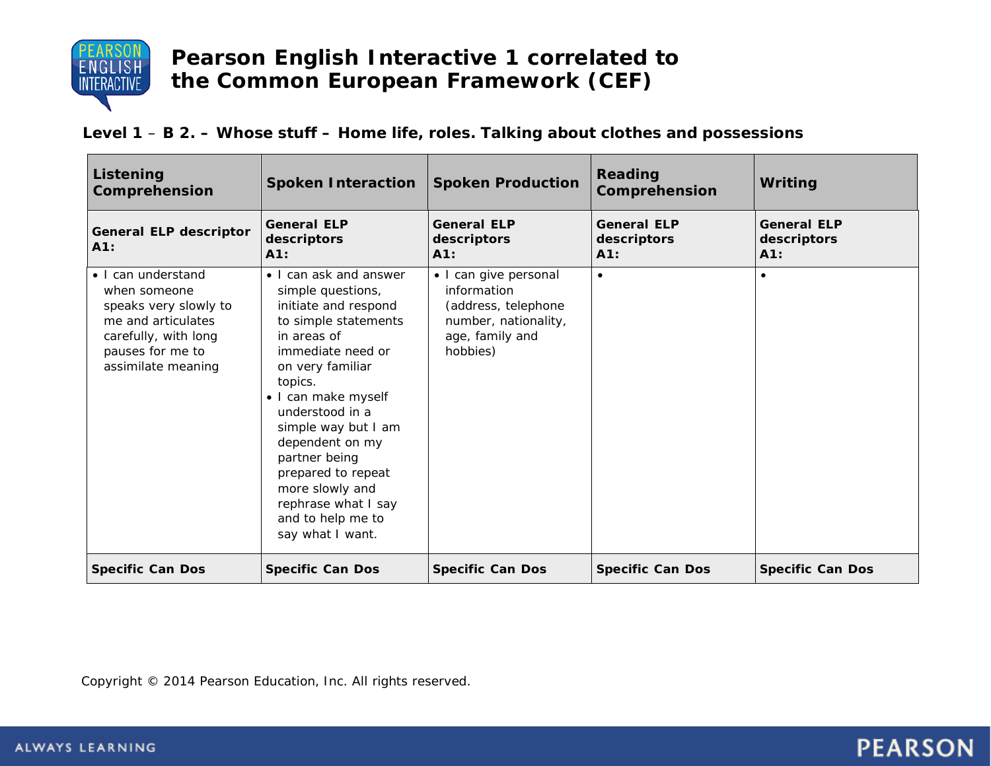

#### **Level 1** – **B 2. – Whose stuff – Home life, roles. Talking about clothes and possessions**

| Listening<br>Comprehension                                                                                                                          | <b>Spoken Interaction</b>                                                                                                                                                                                                                                                                                                                                                    | <b>Spoken Production</b>                                                                                           | Reading<br>Comprehension                 | Writing                                     |
|-----------------------------------------------------------------------------------------------------------------------------------------------------|------------------------------------------------------------------------------------------------------------------------------------------------------------------------------------------------------------------------------------------------------------------------------------------------------------------------------------------------------------------------------|--------------------------------------------------------------------------------------------------------------------|------------------------------------------|---------------------------------------------|
| <b>General ELP descriptor</b><br>A1:                                                                                                                | <b>General ELP</b><br>descriptors<br>A1:                                                                                                                                                                                                                                                                                                                                     | <b>General ELP</b><br>descriptors<br>A1:                                                                           | <b>General ELP</b><br>descriptors<br>A1: | <b>General ELP</b><br>descriptors<br>$A1$ : |
| • I can understand<br>when someone<br>speaks very slowly to<br>me and articulates<br>carefully, with long<br>pauses for me to<br>assimilate meaning | • I can ask and answer<br>simple questions,<br>initiate and respond<br>to simple statements<br>in areas of<br>immediate need or<br>on very familiar<br>topics.<br>· I can make myself<br>understood in a<br>simple way but I am<br>dependent on my<br>partner being<br>prepared to repeat<br>more slowly and<br>rephrase what I say<br>and to help me to<br>say what I want. | • I can give personal<br>information<br>(address, telephone<br>number, nationality,<br>age, family and<br>hobbies) | $\bullet$                                | $\bullet$                                   |
| <b>Specific Can Dos</b>                                                                                                                             | <b>Specific Can Dos</b>                                                                                                                                                                                                                                                                                                                                                      | <b>Specific Can Dos</b>                                                                                            | <b>Specific Can Dos</b>                  | <b>Specific Can Dos</b>                     |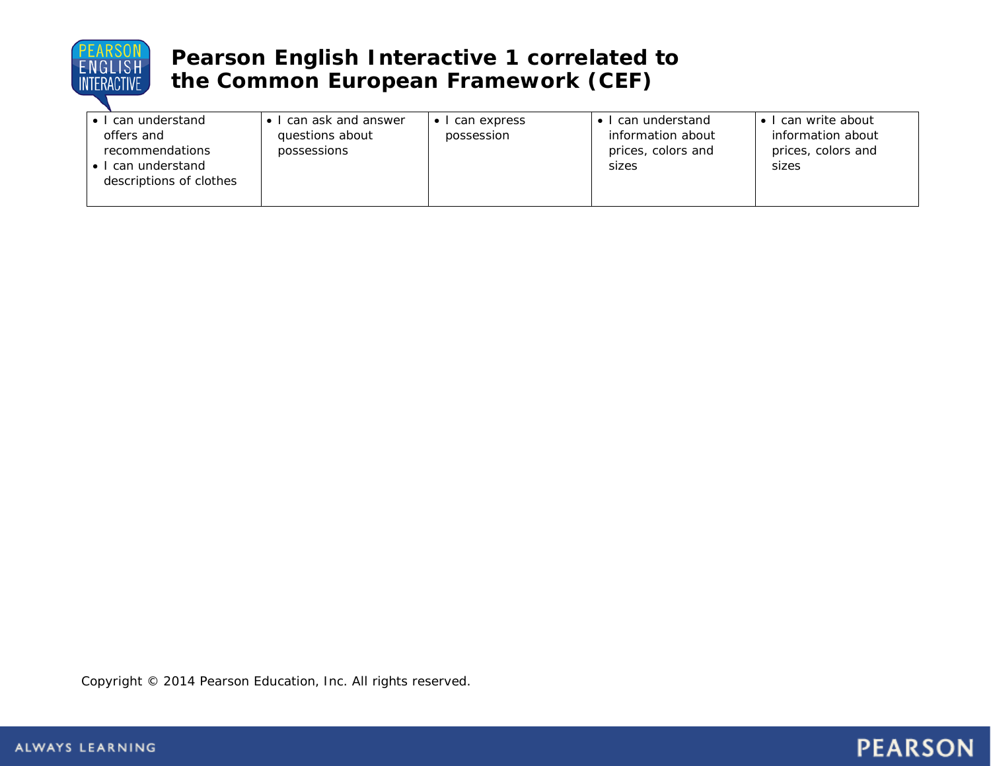

| $\bullet$ I can understand                          | can ask and answer             | can express | can understand                                   | can write about                                  |
|-----------------------------------------------------|--------------------------------|-------------|--------------------------------------------------|--------------------------------------------------|
| offers and<br>recommendations<br>• I can understand | questions about<br>possessions | possession  | information about<br>prices, colors and<br>sizes | information about<br>prices, colors and<br>sizes |
| descriptions of clothes                             |                                |             |                                                  |                                                  |

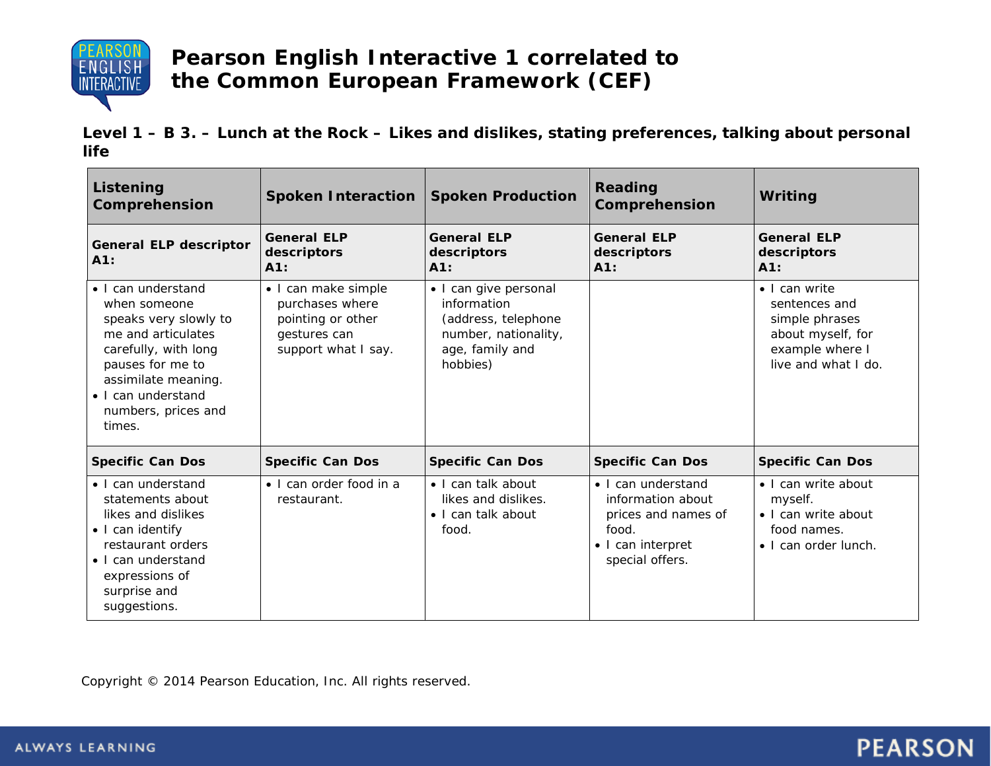

**Level 1 – B 3. – Lunch at the Rock – Likes and dislikes, stating preferences, talking about personal life**

| Listening<br>Comprehension                                                                                                                                                                                  | <b>Spoken Interaction</b>                                                                          | <b>Spoken Production</b>                                                                                           | Reading<br>Comprehension                                                                                        | Writing                                                                                                         |
|-------------------------------------------------------------------------------------------------------------------------------------------------------------------------------------------------------------|----------------------------------------------------------------------------------------------------|--------------------------------------------------------------------------------------------------------------------|-----------------------------------------------------------------------------------------------------------------|-----------------------------------------------------------------------------------------------------------------|
| <b>General ELP descriptor</b><br>A1:                                                                                                                                                                        | <b>General ELP</b><br>descriptors<br>A1:                                                           | <b>General ELP</b><br>descriptors<br>A1:                                                                           | <b>General ELP</b><br>descriptors<br>A1:                                                                        | <b>General ELP</b><br>descriptors<br>A1:                                                                        |
| • I can understand<br>when someone<br>speaks very slowly to<br>me and articulates<br>carefully, with long<br>pauses for me to<br>assimilate meaning.<br>• I can understand<br>numbers, prices and<br>times. | · I can make simple<br>purchases where<br>pointing or other<br>gestures can<br>support what I say. | • I can give personal<br>information<br>(address, telephone<br>number, nationality,<br>age, family and<br>hobbies) |                                                                                                                 | • I can write<br>sentences and<br>simple phrases<br>about myself, for<br>example where I<br>live and what I do. |
| <b>Specific Can Dos</b>                                                                                                                                                                                     | <b>Specific Can Dos</b>                                                                            | <b>Specific Can Dos</b>                                                                                            | <b>Specific Can Dos</b>                                                                                         | <b>Specific Can Dos</b>                                                                                         |
| • I can understand<br>statements about<br>likes and dislikes<br>• I can identify<br>restaurant orders<br>• I can understand<br>expressions of<br>surprise and<br>suggestions.                               | $\bullet$ I can order food in a<br>restaurant.                                                     | · I can talk about<br>likes and dislikes.<br>• I can talk about<br>food.                                           | • I can understand<br>information about<br>prices and names of<br>food.<br>• I can interpret<br>special offers. | • I can write about<br>myself.<br>• I can write about<br>food names.<br>• I can order lunch.                    |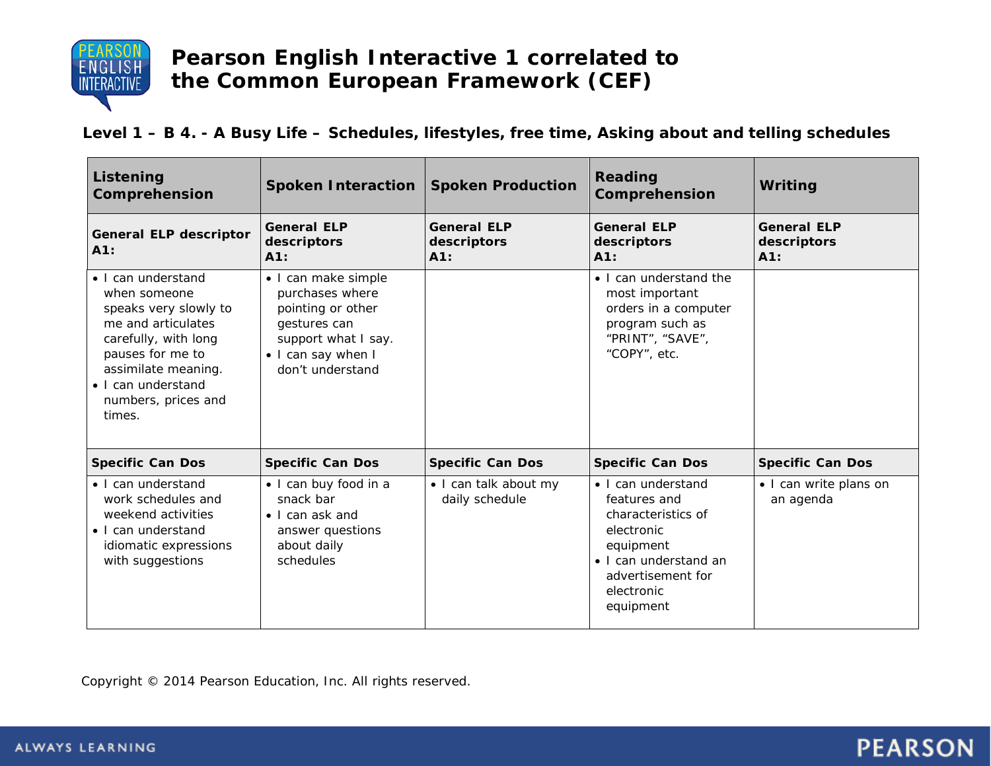

**Level 1 – B 4. - A Busy Life – Schedules, lifestyles, free time, Asking about and telling schedules**

| Listening<br>Comprehension                                                                                                                                                                                  | <b>Spoken Interaction</b>                                                                                                                    | <b>Spoken Production</b>                 | Reading<br>Comprehension                                                                                                                                     | Writing                                  |
|-------------------------------------------------------------------------------------------------------------------------------------------------------------------------------------------------------------|----------------------------------------------------------------------------------------------------------------------------------------------|------------------------------------------|--------------------------------------------------------------------------------------------------------------------------------------------------------------|------------------------------------------|
| <b>General ELP descriptor</b><br>A1:                                                                                                                                                                        | <b>General ELP</b><br>descriptors<br>A1:                                                                                                     | <b>General ELP</b><br>descriptors<br>A1: | <b>General ELP</b><br>descriptors<br>A1:                                                                                                                     | <b>General ELP</b><br>descriptors<br>A1: |
| · I can understand<br>when someone<br>speaks very slowly to<br>me and articulates<br>carefully, with long<br>pauses for me to<br>assimilate meaning.<br>• I can understand<br>numbers, prices and<br>times. | • I can make simple<br>purchases where<br>pointing or other<br>gestures can<br>support what I say.<br>• I can say when I<br>don't understand |                                          | • I can understand the<br>most important<br>orders in a computer<br>program such as<br>"PRINT", "SAVE",<br>"COPY", etc.                                      |                                          |
| <b>Specific Can Dos</b>                                                                                                                                                                                     | <b>Specific Can Dos</b>                                                                                                                      | <b>Specific Can Dos</b>                  | <b>Specific Can Dos</b>                                                                                                                                      | <b>Specific Can Dos</b>                  |
| • I can understand<br>work schedules and<br>weekend activities<br>• I can understand<br>idiomatic expressions<br>with suggestions                                                                           | · I can buy food in a<br>snack bar<br>$\bullet$ I can ask and<br>answer questions<br>about daily<br>schedules                                | • I can talk about my<br>daily schedule  | • I can understand<br>features and<br>characteristics of<br>electronic<br>equipment<br>• I can understand an<br>advertisement for<br>electronic<br>equipment | • I can write plans on<br>an agenda      |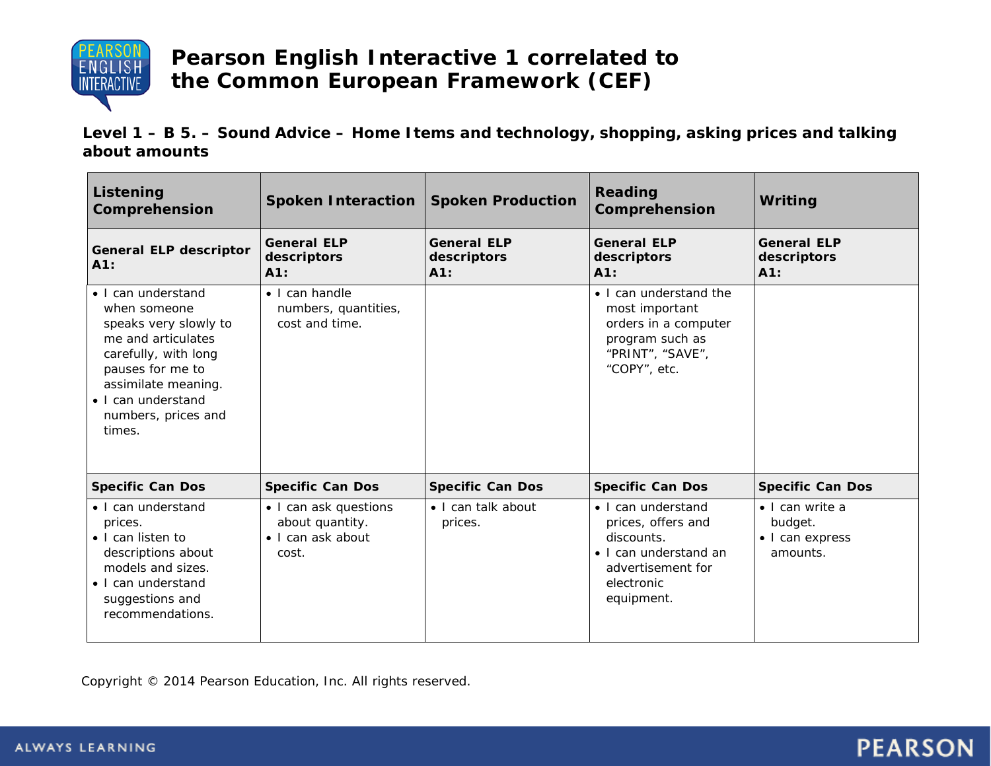

**Level 1 – B 5. – Sound Advice – Home Items and technology, shopping, asking prices and talking about amounts**

| <b>Listening</b><br>Comprehension                                                                                                                                                                           | <b>Spoken Interaction</b>                                              | <b>Spoken Production</b>                 | Reading<br>Comprehension                                                                                                         | Writing                                                           |
|-------------------------------------------------------------------------------------------------------------------------------------------------------------------------------------------------------------|------------------------------------------------------------------------|------------------------------------------|----------------------------------------------------------------------------------------------------------------------------------|-------------------------------------------------------------------|
| <b>General ELP descriptor</b><br>A1:                                                                                                                                                                        | <b>General ELP</b><br>descriptors<br>A1:                               | <b>General ELP</b><br>descriptors<br>A1: | <b>General ELP</b><br>descriptors<br>A1:                                                                                         | <b>General ELP</b><br>descriptors<br>A1:                          |
| · I can understand<br>when someone<br>speaks very slowly to<br>me and articulates<br>carefully, with long<br>pauses for me to<br>assimilate meaning.<br>· I can understand<br>numbers, prices and<br>times. | $\bullet$ I can handle<br>numbers, quantities,<br>cost and time.       |                                          | • I can understand the<br>most important<br>orders in a computer<br>program such as<br>"PRINT", "SAVE",<br>"COPY", etc.          |                                                                   |
| <b>Specific Can Dos</b>                                                                                                                                                                                     | <b>Specific Can Dos</b>                                                | <b>Specific Can Dos</b>                  | <b>Specific Can Dos</b>                                                                                                          | <b>Specific Can Dos</b>                                           |
| • I can understand<br>prices.<br>• I can listen to<br>descriptions about<br>models and sizes.<br>• I can understand<br>suggestions and<br>recommendations.                                                  | • I can ask questions<br>about quantity.<br>• I can ask about<br>cost. | • I can talk about<br>prices.            | • I can understand<br>prices, offers and<br>discounts.<br>• I can understand an<br>advertisement for<br>electronic<br>equipment. | $\bullet$ I can write a<br>budget.<br>• I can express<br>amounts. |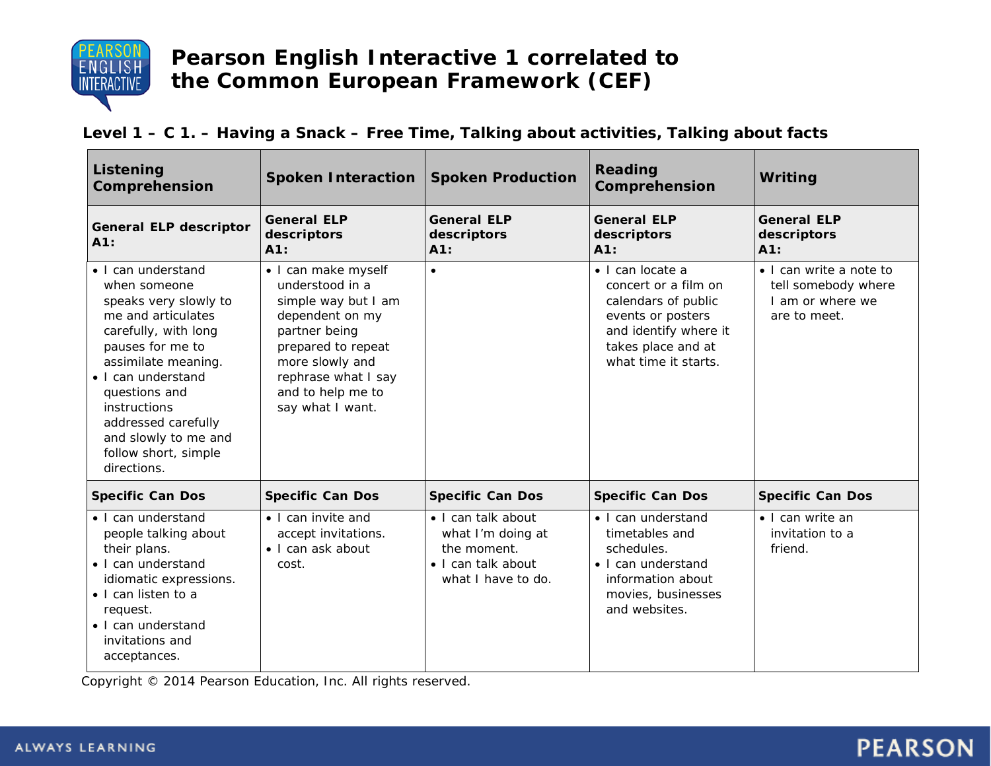

#### **Level 1 – C 1. – Having a Snack – Free Time, Talking about activities, Talking about facts**

| Listening<br>Comprehension                                                                                                                                                                                                                                                                        | <b>Spoken Interaction</b>                                                                                                                                                                                  | <b>Spoken Production</b>                                                                           | <b>Reading</b><br>Comprehension                                                                                                                                     | Writing                                                                            |
|---------------------------------------------------------------------------------------------------------------------------------------------------------------------------------------------------------------------------------------------------------------------------------------------------|------------------------------------------------------------------------------------------------------------------------------------------------------------------------------------------------------------|----------------------------------------------------------------------------------------------------|---------------------------------------------------------------------------------------------------------------------------------------------------------------------|------------------------------------------------------------------------------------|
| <b>General ELP descriptor</b><br>A1:                                                                                                                                                                                                                                                              | <b>General ELP</b><br>descriptors<br>A1:                                                                                                                                                                   | <b>General ELP</b><br>descriptors<br>A1:                                                           | <b>General ELP</b><br>descriptors<br>A1:                                                                                                                            | <b>General ELP</b><br>descriptors<br>A1:                                           |
| • I can understand<br>when someone<br>speaks very slowly to<br>me and articulates<br>carefully, with long<br>pauses for me to<br>assimilate meaning.<br>• I can understand<br>questions and<br>instructions<br>addressed carefully<br>and slowly to me and<br>follow short, simple<br>directions. | • I can make myself<br>understood in a<br>simple way but I am<br>dependent on my<br>partner being<br>prepared to repeat<br>more slowly and<br>rephrase what I say<br>and to help me to<br>say what I want. | $\bullet$                                                                                          | $\bullet$ I can locate a<br>concert or a film on<br>calendars of public<br>events or posters<br>and identify where it<br>takes place and at<br>what time it starts. | • I can write a note to<br>tell somebody where<br>I am or where we<br>are to meet. |
| <b>Specific Can Dos</b>                                                                                                                                                                                                                                                                           | <b>Specific Can Dos</b>                                                                                                                                                                                    | <b>Specific Can Dos</b>                                                                            | <b>Specific Can Dos</b>                                                                                                                                             | <b>Specific Can Dos</b>                                                            |
| • I can understand<br>people talking about<br>their plans.<br>• I can understand<br>idiomatic expressions.<br>• I can listen to a<br>request.<br>• I can understand<br>invitations and<br>acceptances.                                                                                            | • I can invite and<br>accept invitations.<br>$\bullet$ I can ask about<br>cost.                                                                                                                            | · I can talk about<br>what I'm doing at<br>the moment.<br>· I can talk about<br>what I have to do. | • I can understand<br>timetables and<br>schedules.<br>• I can understand<br>information about<br>movies, businesses<br>and websites.                                | • I can write an<br>invitation to a<br>friend.                                     |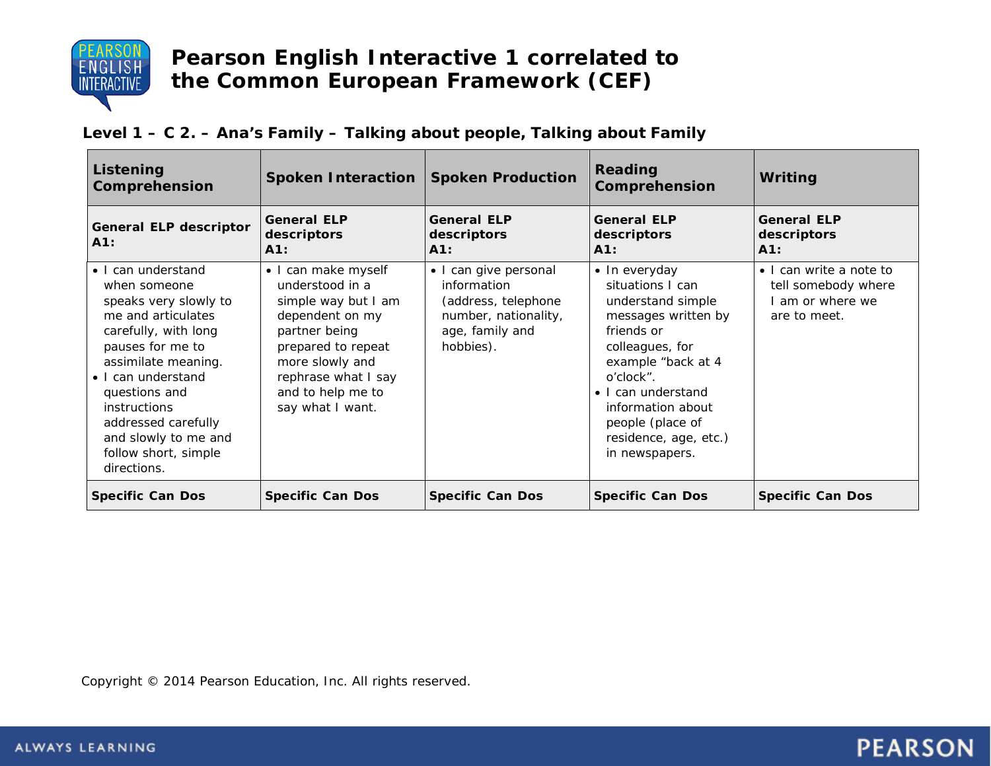

#### **Level 1 – C 2. – Ana's Family – Talking about people, Talking about Family**

| Listening<br>Comprehension                                                                                                                                                                                                                                                                        | <b>Spoken Interaction</b>                                                                                                                                                                                  | <b>Spoken Production</b>                                                                                            | Reading<br>Comprehension                                                                                                                                                                                                                                    | Writing                                                                          |
|---------------------------------------------------------------------------------------------------------------------------------------------------------------------------------------------------------------------------------------------------------------------------------------------------|------------------------------------------------------------------------------------------------------------------------------------------------------------------------------------------------------------|---------------------------------------------------------------------------------------------------------------------|-------------------------------------------------------------------------------------------------------------------------------------------------------------------------------------------------------------------------------------------------------------|----------------------------------------------------------------------------------|
| <b>General ELP descriptor</b><br>A1:                                                                                                                                                                                                                                                              | <b>General ELP</b><br>descriptors<br>A1:                                                                                                                                                                   | <b>General ELP</b><br>descriptors<br>A1:                                                                            | <b>General ELP</b><br>descriptors<br>$A1$ :                                                                                                                                                                                                                 | <b>General ELP</b><br>descriptors<br>$A1$ :                                      |
| • I can understand<br>when someone<br>speaks very slowly to<br>me and articulates<br>carefully, with long<br>pauses for me to<br>assimilate meaning.<br>• I can understand<br>questions and<br>instructions<br>addressed carefully<br>and slowly to me and<br>follow short, simple<br>directions. | • I can make myself<br>understood in a<br>simple way but I am<br>dependent on my<br>partner being<br>prepared to repeat<br>more slowly and<br>rephrase what I say<br>and to help me to<br>say what I want. | • I can give personal<br>information<br>(address, telephone<br>number, nationality,<br>age, family and<br>hobbies). | • In everyday<br>situations I can<br>understand simple<br>messages written by<br>friends or<br>colleagues, for<br>example "back at 4<br>o'clock".<br>• I can understand<br>information about<br>people (place of<br>residence, age, etc.)<br>in newspapers. | • I can write a note to<br>tell somebody where<br>am or where we<br>are to meet. |
| <b>Specific Can Dos</b>                                                                                                                                                                                                                                                                           | <b>Specific Can Dos</b>                                                                                                                                                                                    | <b>Specific Can Dos</b>                                                                                             | <b>Specific Can Dos</b>                                                                                                                                                                                                                                     | <b>Specific Can Dos</b>                                                          |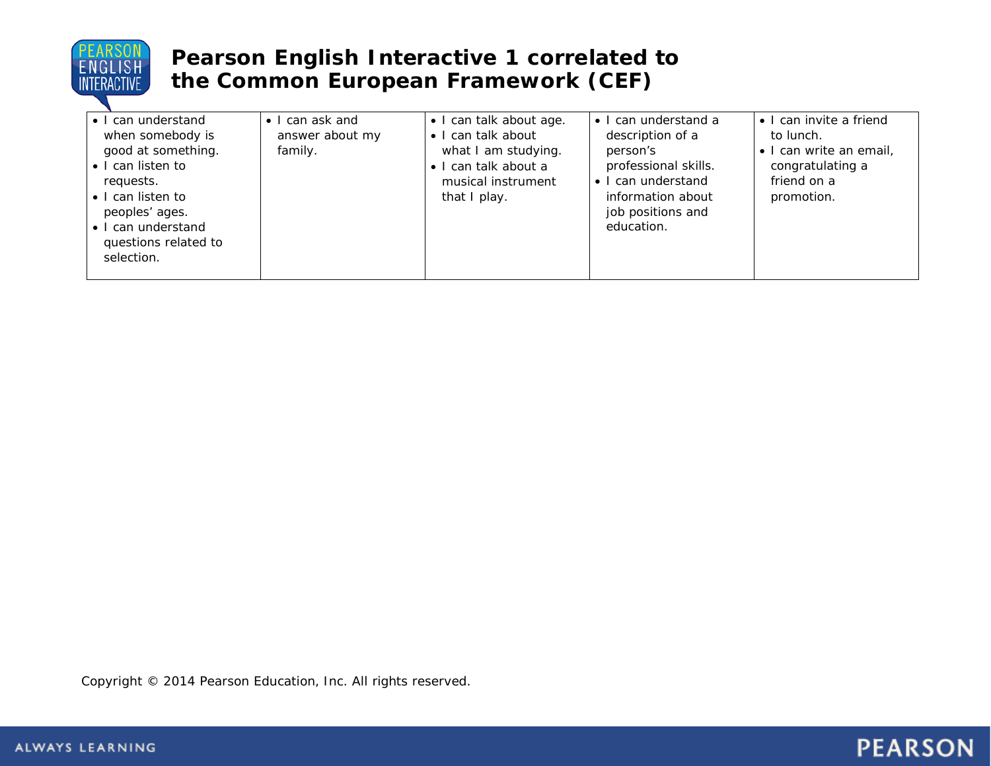

| • I can understand<br>when somebody is<br>good at something.<br>• I can listen to<br>requests.  | $\bullet$   can ask and<br>answer about my<br>family. | • I can talk about age.<br>• I can talk about<br>what I am studying.<br>$\bullet$ I can talk about a<br>musical instrument | • I can understand a<br>description of a<br>person's<br>professional skills.<br>• I can understand | • I can invite a friend<br>to lunch.<br>· I can write an email,<br>congratulating a<br>friend on a |
|-------------------------------------------------------------------------------------------------|-------------------------------------------------------|----------------------------------------------------------------------------------------------------------------------------|----------------------------------------------------------------------------------------------------|----------------------------------------------------------------------------------------------------|
| • I can listen to<br>peoples' ages.<br>• I can understand<br>questions related to<br>selection. |                                                       | that I play.                                                                                                               | information about<br>job positions and<br>education.                                               | promotion.                                                                                         |

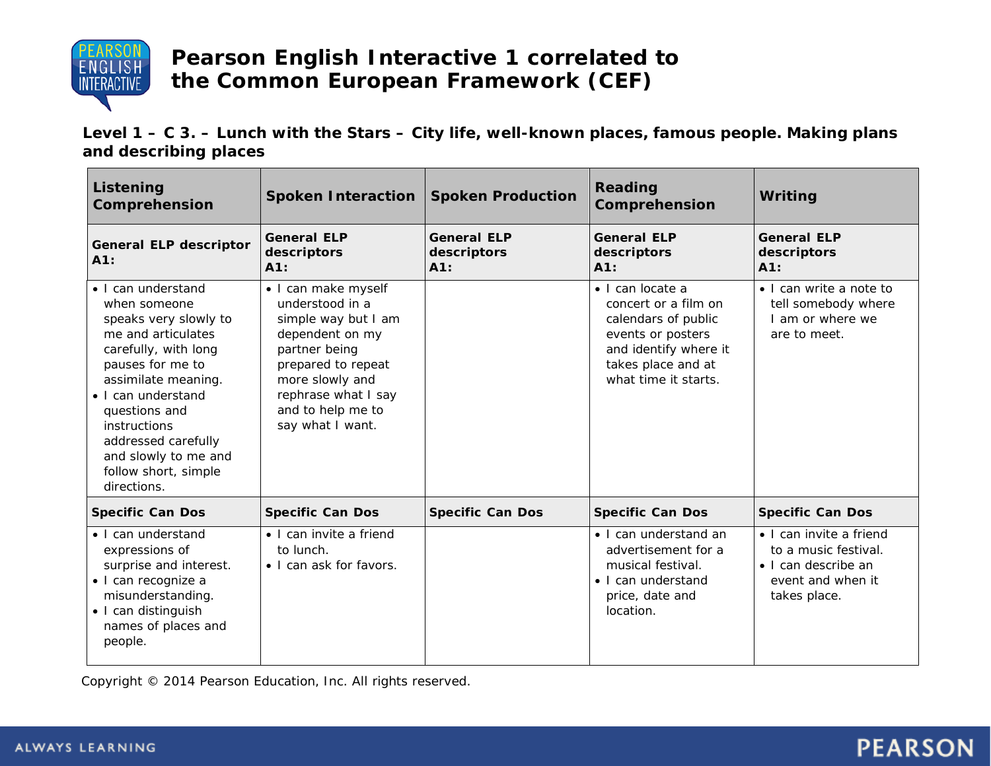

**Level 1 – C 3. – Lunch with the Stars – City life, well-known places, famous people. Making plans and describing places**

| Listening<br>Comprehension                                                                                                                                                                                                                                                                        | <b>Spoken Interaction</b>                                                                                                                                                                                  | <b>Spoken Production</b>                 | <b>Reading</b><br>Comprehension                                                                                                                             | Writing                                                                                                             |
|---------------------------------------------------------------------------------------------------------------------------------------------------------------------------------------------------------------------------------------------------------------------------------------------------|------------------------------------------------------------------------------------------------------------------------------------------------------------------------------------------------------------|------------------------------------------|-------------------------------------------------------------------------------------------------------------------------------------------------------------|---------------------------------------------------------------------------------------------------------------------|
| <b>General ELP descriptor</b><br>A1:                                                                                                                                                                                                                                                              | <b>General ELP</b><br>descriptors<br>A1:                                                                                                                                                                   | <b>General ELP</b><br>descriptors<br>A1: | <b>General ELP</b><br>descriptors<br>A1:                                                                                                                    | <b>General ELP</b><br>descriptors<br>A1:                                                                            |
| • I can understand<br>when someone<br>speaks very slowly to<br>me and articulates<br>carefully, with long<br>pauses for me to<br>assimilate meaning.<br>• I can understand<br>questions and<br>instructions<br>addressed carefully<br>and slowly to me and<br>follow short, simple<br>directions. | · I can make myself<br>understood in a<br>simple way but I am<br>dependent on my<br>partner being<br>prepared to repeat<br>more slowly and<br>rephrase what I say<br>and to help me to<br>say what I want. |                                          | • I can locate a<br>concert or a film on<br>calendars of public<br>events or posters<br>and identify where it<br>takes place and at<br>what time it starts. | • I can write a note to<br>tell somebody where<br>I am or where we<br>are to meet.                                  |
| <b>Specific Can Dos</b>                                                                                                                                                                                                                                                                           | <b>Specific Can Dos</b>                                                                                                                                                                                    | <b>Specific Can Dos</b>                  | <b>Specific Can Dos</b>                                                                                                                                     | <b>Specific Can Dos</b>                                                                                             |
| • I can understand<br>expressions of<br>surprise and interest.<br>· I can recognize a<br>misunderstanding.<br>• I can distinguish<br>names of places and<br>people.                                                                                                                               | • I can invite a friend<br>to lunch.<br>• I can ask for favors.                                                                                                                                            |                                          | • I can understand an<br>advertisement for a<br>musical festival.<br>• I can understand<br>price, date and<br>location.                                     | • I can invite a friend<br>to a music festival.<br>$\bullet$ I can describe an<br>event and when it<br>takes place. |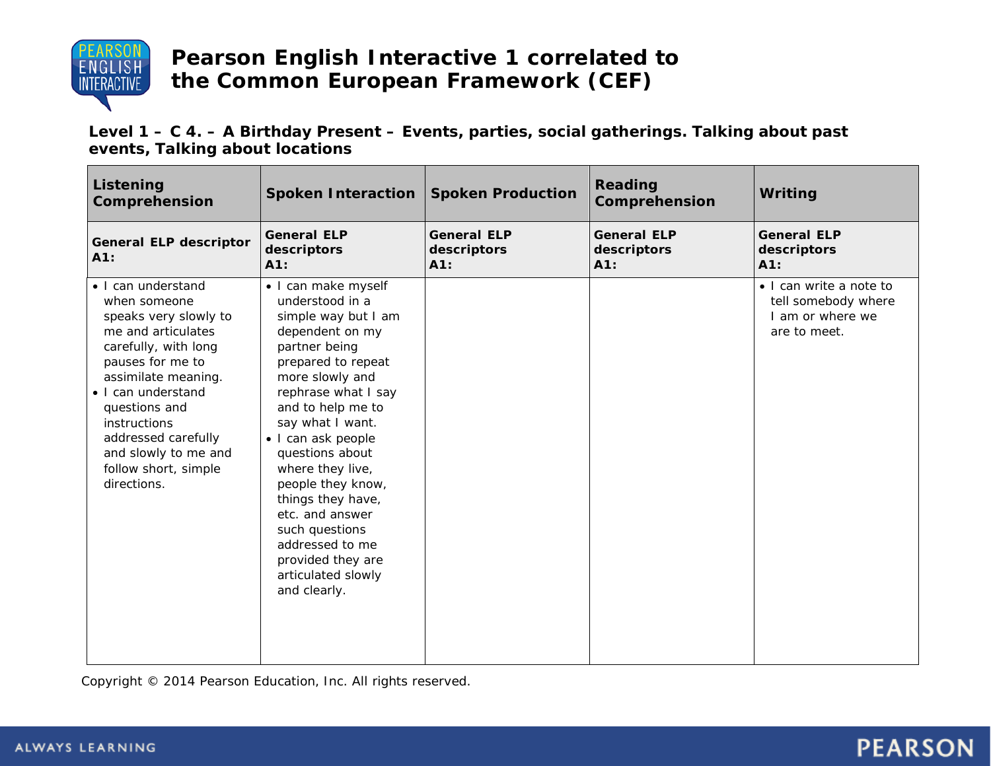

**Level 1 – C 4. – A Birthday Present – Events, parties, social gatherings. Talking about past events, Talking about locations**

| Listening<br>Comprehension                                                                                                                                                                                                                                                                        | <b>Spoken Interaction</b>                                                                                                                                                                                                                                                                                                                                                                                                            | <b>Spoken Production</b>                 | Reading<br>Comprehension                 | Writing                                                                            |
|---------------------------------------------------------------------------------------------------------------------------------------------------------------------------------------------------------------------------------------------------------------------------------------------------|--------------------------------------------------------------------------------------------------------------------------------------------------------------------------------------------------------------------------------------------------------------------------------------------------------------------------------------------------------------------------------------------------------------------------------------|------------------------------------------|------------------------------------------|------------------------------------------------------------------------------------|
| <b>General ELP descriptor</b><br>A1:                                                                                                                                                                                                                                                              | <b>General ELP</b><br>descriptors<br>A1:                                                                                                                                                                                                                                                                                                                                                                                             | <b>General ELP</b><br>descriptors<br>A1: | <b>General ELP</b><br>descriptors<br>A1: | <b>General ELP</b><br>descriptors<br>A1:                                           |
| • I can understand<br>when someone<br>speaks very slowly to<br>me and articulates<br>carefully, with long<br>pauses for me to<br>assimilate meaning.<br>• I can understand<br>questions and<br>instructions<br>addressed carefully<br>and slowly to me and<br>follow short, simple<br>directions. | · I can make myself<br>understood in a<br>simple way but I am<br>dependent on my<br>partner being<br>prepared to repeat<br>more slowly and<br>rephrase what I say<br>and to help me to<br>say what I want.<br>· I can ask people<br>questions about<br>where they live,<br>people they know,<br>things they have,<br>etc. and answer<br>such questions<br>addressed to me<br>provided they are<br>articulated slowly<br>and clearly. |                                          |                                          | • I can write a note to<br>tell somebody where<br>I am or where we<br>are to meet. |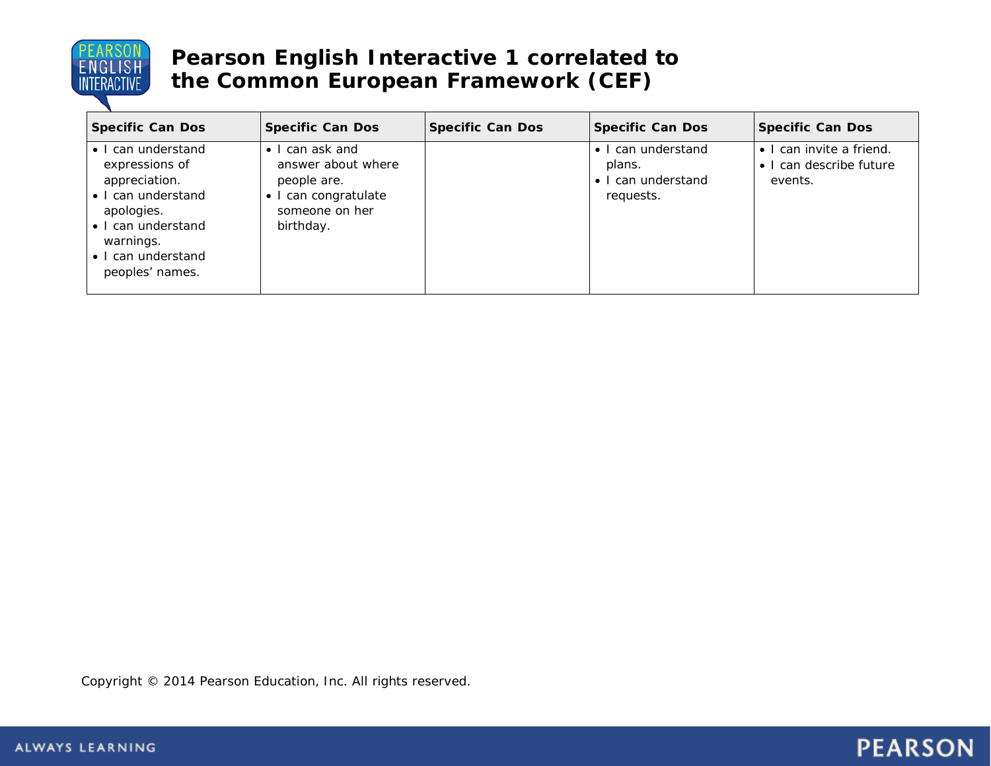

| <b>Specific Can Dos</b>                                                                                                                                               | <b>Specific Can Dos</b>                                                                                             | <b>Specific Can Dos</b> | <b>Specific Can Dos</b>                                         | <b>Specific Can Dos</b>                                        |
|-----------------------------------------------------------------------------------------------------------------------------------------------------------------------|---------------------------------------------------------------------------------------------------------------------|-------------------------|-----------------------------------------------------------------|----------------------------------------------------------------|
| • I can understand<br>expressions of<br>appreciation.<br>• I can understand<br>apologies.<br>• I can understand<br>warnings.<br>• I can understand<br>peoples' names. | $\bullet$ I can ask and<br>answer about where<br>people are.<br>• I can congratulate<br>someone on her<br>birthday. |                         | • I can understand<br>plans.<br>• I can understand<br>requests. | • I can invite a friend.<br>• I can describe future<br>events. |

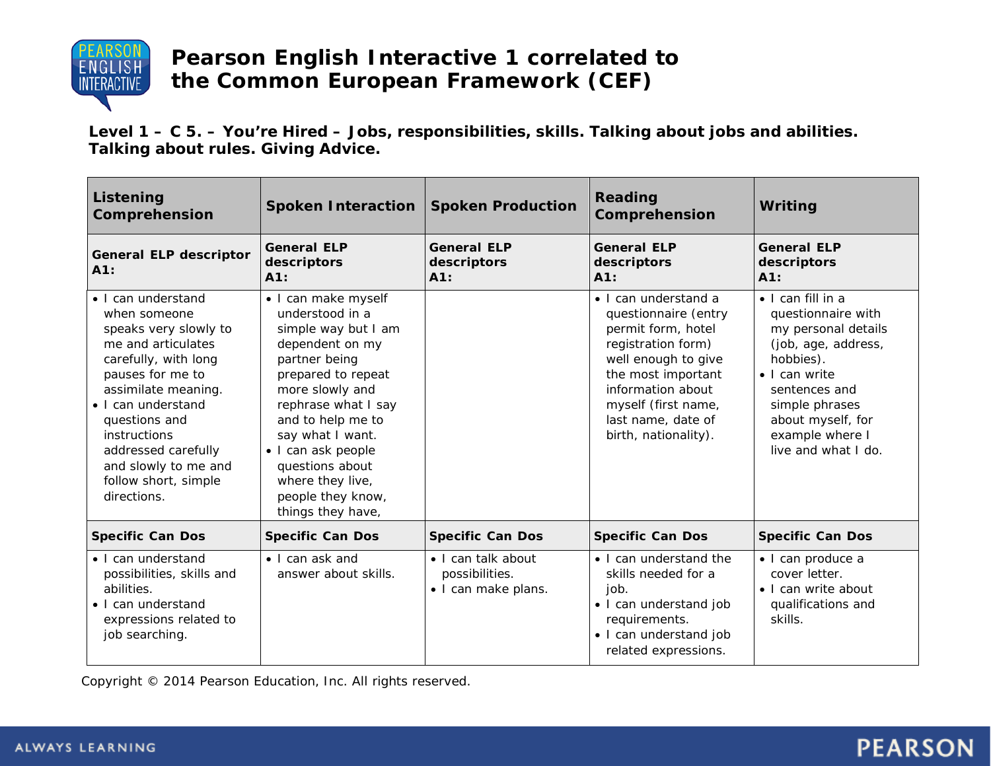

**Level 1 – C 5. – You're Hired – Jobs, responsibilities, skills. Talking about jobs and abilities. Talking about rules. Giving Advice.**

| Listening<br>Comprehension                                                                                                                                                                                                                                                                        | <b>Spoken Interaction</b>                                                                                                                                                                                                                                                                                         | <b>Spoken Production</b>                                    | Reading<br>Comprehension                                                                                                                                                                                                                | Writing                                                                                                                                                                                                                               |
|---------------------------------------------------------------------------------------------------------------------------------------------------------------------------------------------------------------------------------------------------------------------------------------------------|-------------------------------------------------------------------------------------------------------------------------------------------------------------------------------------------------------------------------------------------------------------------------------------------------------------------|-------------------------------------------------------------|-----------------------------------------------------------------------------------------------------------------------------------------------------------------------------------------------------------------------------------------|---------------------------------------------------------------------------------------------------------------------------------------------------------------------------------------------------------------------------------------|
| <b>General ELP descriptor</b><br>A1:                                                                                                                                                                                                                                                              | <b>General ELP</b><br>descriptors<br>A1:                                                                                                                                                                                                                                                                          | <b>General ELP</b><br>descriptors<br>A1:                    | <b>General ELP</b><br>descriptors<br>A1:                                                                                                                                                                                                | <b>General ELP</b><br>descriptors<br>A1:                                                                                                                                                                                              |
| • I can understand<br>when someone<br>speaks very slowly to<br>me and articulates<br>carefully, with long<br>pauses for me to<br>assimilate meaning.<br>· I can understand<br>questions and<br>instructions<br>addressed carefully<br>and slowly to me and<br>follow short, simple<br>directions. | • I can make myself<br>understood in a<br>simple way but I am<br>dependent on my<br>partner being<br>prepared to repeat<br>more slowly and<br>rephrase what I say<br>and to help me to<br>say what I want.<br>· I can ask people<br>questions about<br>where they live,<br>people they know,<br>things they have, |                                                             | $\bullet$ I can understand a<br>questionnaire (entry<br>permit form, hotel<br>registration form)<br>well enough to give<br>the most important<br>information about<br>myself (first name,<br>last name, date of<br>birth, nationality). | $\bullet$   can fill in a<br>questionnaire with<br>my personal details<br>(job, age, address,<br>hobbies).<br>$\bullet$ I can write<br>sentences and<br>simple phrases<br>about myself, for<br>example where I<br>live and what I do. |
| <b>Specific Can Dos</b>                                                                                                                                                                                                                                                                           | <b>Specific Can Dos</b>                                                                                                                                                                                                                                                                                           | <b>Specific Can Dos</b>                                     | <b>Specific Can Dos</b>                                                                                                                                                                                                                 | <b>Specific Can Dos</b>                                                                                                                                                                                                               |
| • I can understand<br>possibilities, skills and<br>abilities.<br>• I can understand<br>expressions related to<br>job searching.                                                                                                                                                                   | • I can ask and<br>answer about skills.                                                                                                                                                                                                                                                                           | • I can talk about<br>possibilities.<br>· I can make plans. | • I can understand the<br>skills needed for a<br>job.<br>• I can understand job<br>requirements.<br>• I can understand job<br>related expressions.                                                                                      | · I can produce a<br>cover letter.<br>• I can write about<br>qualifications and<br>skills.                                                                                                                                            |